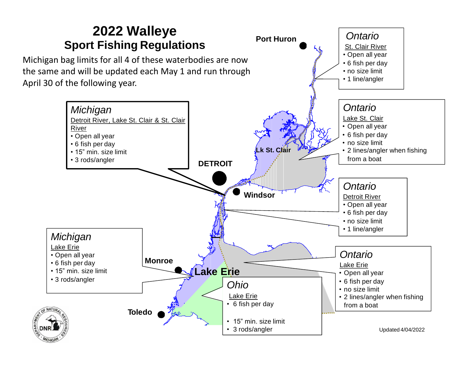